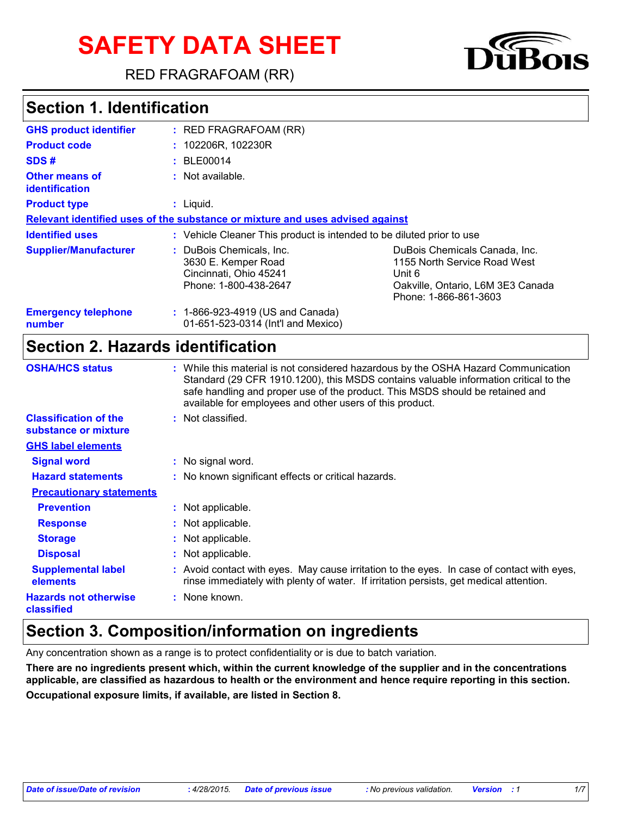# **SAFETY DATA SHEET**

RED FRAGRAFOAM (RR)



### **Section 1. Identification**

| <b>GHS product identifier</b>           | $:$ RED FRAGRAFOAM (RR)                                                                            |                                                                                                                                       |
|-----------------------------------------|----------------------------------------------------------------------------------------------------|---------------------------------------------------------------------------------------------------------------------------------------|
| <b>Product code</b>                     | : 102206R, 102230R                                                                                 |                                                                                                                                       |
| SDS#                                    | : BLE00014                                                                                         |                                                                                                                                       |
| <b>Other means of</b><br>identification | : Not available.                                                                                   |                                                                                                                                       |
| <b>Product type</b>                     | $:$ Liquid.                                                                                        |                                                                                                                                       |
|                                         | Relevant identified uses of the substance or mixture and uses advised against                      |                                                                                                                                       |
| <b>Identified uses</b>                  | : Vehicle Cleaner This product is intended to be diluted prior to use                              |                                                                                                                                       |
| <b>Supplier/Manufacturer</b>            | : DuBois Chemicals, Inc.<br>3630 E. Kemper Road<br>Cincinnati, Ohio 45241<br>Phone: 1-800-438-2647 | DuBois Chemicals Canada, Inc.<br>1155 North Service Road West<br>Unit 6<br>Oakville, Ontario, L6M 3E3 Canada<br>Phone: 1-866-861-3603 |
| <b>Emergency telephone</b><br>number    | : 1-866-923-4919 (US and Canada)<br>01-651-523-0314 (Int'l and Mexico)                             |                                                                                                                                       |

### **Section 2. Hazards identification**

| <b>OSHA/HCS status</b>                               | : While this material is not considered hazardous by the OSHA Hazard Communication<br>Standard (29 CFR 1910.1200), this MSDS contains valuable information critical to the<br>safe handling and proper use of the product. This MSDS should be retained and<br>available for employees and other users of this product. |
|------------------------------------------------------|-------------------------------------------------------------------------------------------------------------------------------------------------------------------------------------------------------------------------------------------------------------------------------------------------------------------------|
| <b>Classification of the</b><br>substance or mixture | : Not classified.                                                                                                                                                                                                                                                                                                       |
| <b>GHS label elements</b>                            |                                                                                                                                                                                                                                                                                                                         |
| <b>Signal word</b>                                   | : No signal word.                                                                                                                                                                                                                                                                                                       |
| <b>Hazard statements</b>                             | : No known significant effects or critical hazards.                                                                                                                                                                                                                                                                     |
| <b>Precautionary statements</b>                      |                                                                                                                                                                                                                                                                                                                         |
| <b>Prevention</b>                                    | : Not applicable.                                                                                                                                                                                                                                                                                                       |
| <b>Response</b>                                      | : Not applicable.                                                                                                                                                                                                                                                                                                       |
| <b>Storage</b>                                       | : Not applicable.                                                                                                                                                                                                                                                                                                       |
| <b>Disposal</b>                                      | : Not applicable.                                                                                                                                                                                                                                                                                                       |
| <b>Supplemental label</b><br>elements                | : Avoid contact with eyes. May cause irritation to the eyes. In case of contact with eyes,<br>rinse immediately with plenty of water. If irritation persists, get medical attention.                                                                                                                                    |
| <b>Hazards not otherwise</b><br>classified           | : None known.                                                                                                                                                                                                                                                                                                           |

# **Section 3. Composition/information on ingredients**

Any concentration shown as a range is to protect confidentiality or is due to batch variation.

**There are no ingredients present which, within the current knowledge of the supplier and in the concentrations applicable, are classified as hazardous to health or the environment and hence require reporting in this section. Occupational exposure limits, if available, are listed in Section 8.**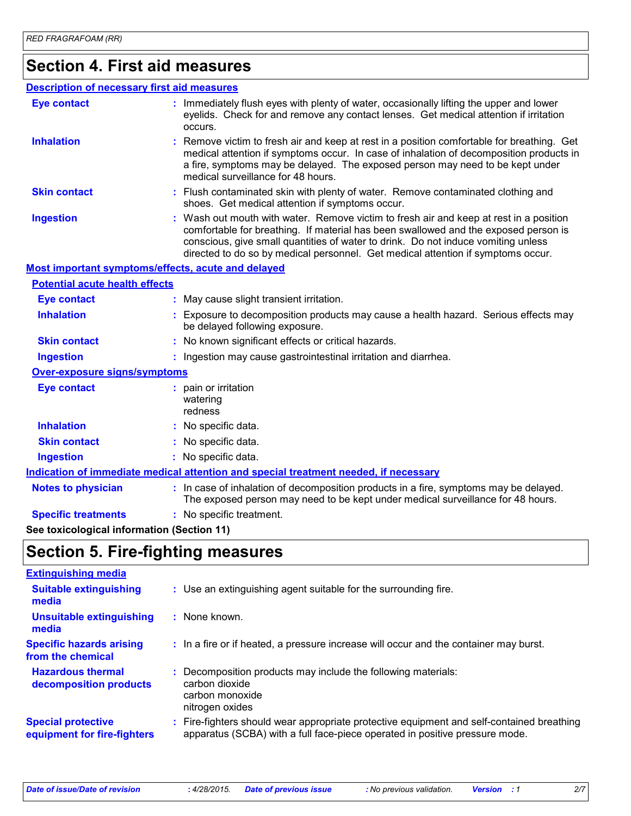# **Section 4. First aid measures**

#### **Description of necessary first aid measures**

| <b>Eye contact</b>                                 | : Immediately flush eyes with plenty of water, occasionally lifting the upper and lower<br>eyelids. Check for and remove any contact lenses. Get medical attention if irritation<br>occurs.                                                                                                                                                            |
|----------------------------------------------------|--------------------------------------------------------------------------------------------------------------------------------------------------------------------------------------------------------------------------------------------------------------------------------------------------------------------------------------------------------|
| <b>Inhalation</b>                                  | : Remove victim to fresh air and keep at rest in a position comfortable for breathing. Get<br>medical attention if symptoms occur. In case of inhalation of decomposition products in<br>a fire, symptoms may be delayed. The exposed person may need to be kept under<br>medical surveillance for 48 hours.                                           |
| <b>Skin contact</b>                                | : Flush contaminated skin with plenty of water. Remove contaminated clothing and<br>shoes. Get medical attention if symptoms occur.                                                                                                                                                                                                                    |
| <b>Ingestion</b>                                   | : Wash out mouth with water. Remove victim to fresh air and keep at rest in a position<br>comfortable for breathing. If material has been swallowed and the exposed person is<br>conscious, give small quantities of water to drink. Do not induce vomiting unless<br>directed to do so by medical personnel. Get medical attention if symptoms occur. |
| Most important symptoms/effects, acute and delayed |                                                                                                                                                                                                                                                                                                                                                        |
| <b>Potential acute health effects</b>              |                                                                                                                                                                                                                                                                                                                                                        |
| <b>Eye contact</b>                                 | : May cause slight transient irritation.                                                                                                                                                                                                                                                                                                               |
| <b>Inhalation</b>                                  | : Exposure to decomposition products may cause a health hazard. Serious effects may<br>be delayed following exposure.                                                                                                                                                                                                                                  |
| <b>Skin contact</b>                                | : No known significant effects or critical hazards.                                                                                                                                                                                                                                                                                                    |
| <b>Ingestion</b>                                   | : Ingestion may cause gastrointestinal irritation and diarrhea.                                                                                                                                                                                                                                                                                        |
| Over-exposure signs/symptoms                       |                                                                                                                                                                                                                                                                                                                                                        |
| <b>Eye contact</b>                                 | : pain or irritation<br>watering<br>redness                                                                                                                                                                                                                                                                                                            |
| <b>Inhalation</b>                                  | : No specific data.                                                                                                                                                                                                                                                                                                                                    |
| <b>Skin contact</b>                                | : No specific data.                                                                                                                                                                                                                                                                                                                                    |
| <b>Ingestion</b>                                   | : No specific data.                                                                                                                                                                                                                                                                                                                                    |
|                                                    | Indication of immediate medical attention and special treatment needed, if necessary                                                                                                                                                                                                                                                                   |
| <b>Notes to physician</b>                          | : In case of inhalation of decomposition products in a fire, symptoms may be delayed.<br>The exposed person may need to be kept under medical surveillance for 48 hours.                                                                                                                                                                               |
| <b>Specific treatments</b>                         | : No specific treatment.                                                                                                                                                                                                                                                                                                                               |

**See toxicological information (Section 11)**

# **Section 5. Fire-fighting measures**

| <b>Extinguishing media</b>                               |                                                                                                                                                                        |
|----------------------------------------------------------|------------------------------------------------------------------------------------------------------------------------------------------------------------------------|
| <b>Suitable extinguishing</b><br>media                   | : Use an extinguishing agent suitable for the surrounding fire.                                                                                                        |
| <b>Unsuitable extinguishing</b><br>media                 | : None known.                                                                                                                                                          |
| <b>Specific hazards arising</b><br>from the chemical     | : In a fire or if heated, a pressure increase will occur and the container may burst.                                                                                  |
| <b>Hazardous thermal</b><br>decomposition products       | Decomposition products may include the following materials:<br>carbon dioxide<br>carbon monoxide<br>nitrogen oxides                                                    |
| <b>Special protective</b><br>equipment for fire-fighters | Fire-fighters should wear appropriate protective equipment and self-contained breathing<br>apparatus (SCBA) with a full face-piece operated in positive pressure mode. |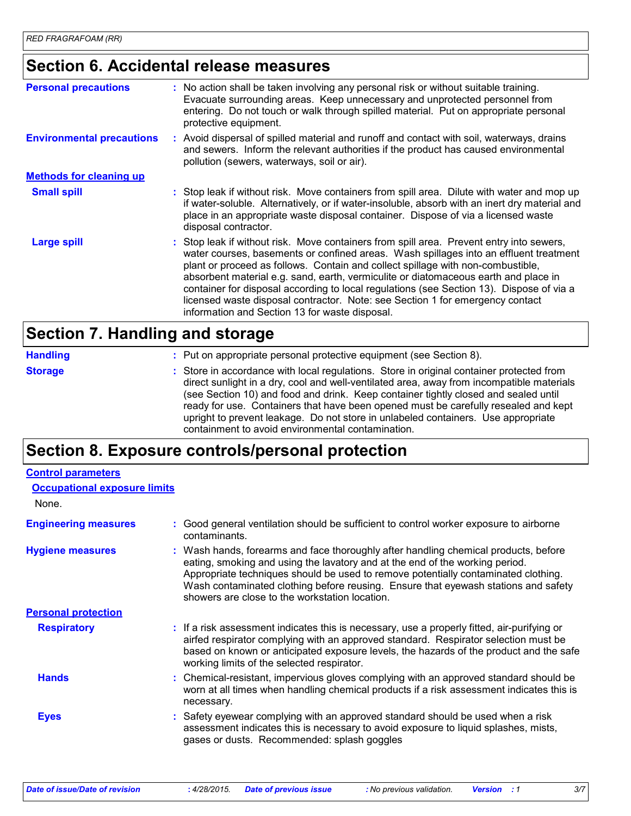# **Section 6. Accidental release measures**

| <b>Personal precautions</b>      | : No action shall be taken involving any personal risk or without suitable training.<br>Evacuate surrounding areas. Keep unnecessary and unprotected personnel from<br>entering. Do not touch or walk through spilled material. Put on appropriate personal<br>protective equipment.                                                                                                                                                                                                                                                                                                       |
|----------------------------------|--------------------------------------------------------------------------------------------------------------------------------------------------------------------------------------------------------------------------------------------------------------------------------------------------------------------------------------------------------------------------------------------------------------------------------------------------------------------------------------------------------------------------------------------------------------------------------------------|
| <b>Environmental precautions</b> | : Avoid dispersal of spilled material and runoff and contact with soil, waterways, drains<br>and sewers. Inform the relevant authorities if the product has caused environmental<br>pollution (sewers, waterways, soil or air).                                                                                                                                                                                                                                                                                                                                                            |
| <b>Methods for cleaning up</b>   |                                                                                                                                                                                                                                                                                                                                                                                                                                                                                                                                                                                            |
| <b>Small spill</b>               | : Stop leak if without risk. Move containers from spill area. Dilute with water and mop up<br>if water-soluble. Alternatively, or if water-insoluble, absorb with an inert dry material and<br>place in an appropriate waste disposal container. Dispose of via a licensed waste<br>disposal contractor.                                                                                                                                                                                                                                                                                   |
| <b>Large spill</b>               | : Stop leak if without risk. Move containers from spill area. Prevent entry into sewers,<br>water courses, basements or confined areas. Wash spillages into an effluent treatment<br>plant or proceed as follows. Contain and collect spillage with non-combustible,<br>absorbent material e.g. sand, earth, vermiculite or diatomaceous earth and place in<br>container for disposal according to local regulations (see Section 13). Dispose of via a<br>licensed waste disposal contractor. Note: see Section 1 for emergency contact<br>information and Section 13 for waste disposal. |

#### **Section 7. Handling and storage**

| <b>Handling</b> | : Put on appropriate personal protective equipment (see Section 8).                                                                                                                                                                                                                                                                                                                                                                                                                                           |
|-----------------|---------------------------------------------------------------------------------------------------------------------------------------------------------------------------------------------------------------------------------------------------------------------------------------------------------------------------------------------------------------------------------------------------------------------------------------------------------------------------------------------------------------|
| <b>Storage</b>  | : Store in accordance with local regulations. Store in original container protected from<br>direct sunlight in a dry, cool and well-ventilated area, away from incompatible materials<br>(see Section 10) and food and drink. Keep container tightly closed and sealed until<br>ready for use. Containers that have been opened must be carefully resealed and kept<br>upright to prevent leakage. Do not store in unlabeled containers. Use appropriate<br>containment to avoid environmental contamination. |

# **Section 8. Exposure controls/personal protection**

| <b>Occupational exposure limits</b>                                                                                                                                                                                                                                                                                                                                                               |
|---------------------------------------------------------------------------------------------------------------------------------------------------------------------------------------------------------------------------------------------------------------------------------------------------------------------------------------------------------------------------------------------------|
|                                                                                                                                                                                                                                                                                                                                                                                                   |
| Good general ventilation should be sufficient to control worker exposure to airborne<br>contaminants.                                                                                                                                                                                                                                                                                             |
| : Wash hands, forearms and face thoroughly after handling chemical products, before<br>eating, smoking and using the lavatory and at the end of the working period.<br>Appropriate techniques should be used to remove potentially contaminated clothing.<br>Wash contaminated clothing before reusing. Ensure that eyewash stations and safety<br>showers are close to the workstation location. |
|                                                                                                                                                                                                                                                                                                                                                                                                   |
| : If a risk assessment indicates this is necessary, use a properly fitted, air-purifying or<br>airfed respirator complying with an approved standard. Respirator selection must be<br>based on known or anticipated exposure levels, the hazards of the product and the safe<br>working limits of the selected respirator.                                                                        |
| : Chemical-resistant, impervious gloves complying with an approved standard should be<br>worn at all times when handling chemical products if a risk assessment indicates this is<br>necessary.                                                                                                                                                                                                   |
| : Safety eyewear complying with an approved standard should be used when a risk<br>assessment indicates this is necessary to avoid exposure to liquid splashes, mists,<br>gases or dusts. Recommended: splash goggles                                                                                                                                                                             |
|                                                                                                                                                                                                                                                                                                                                                                                                   |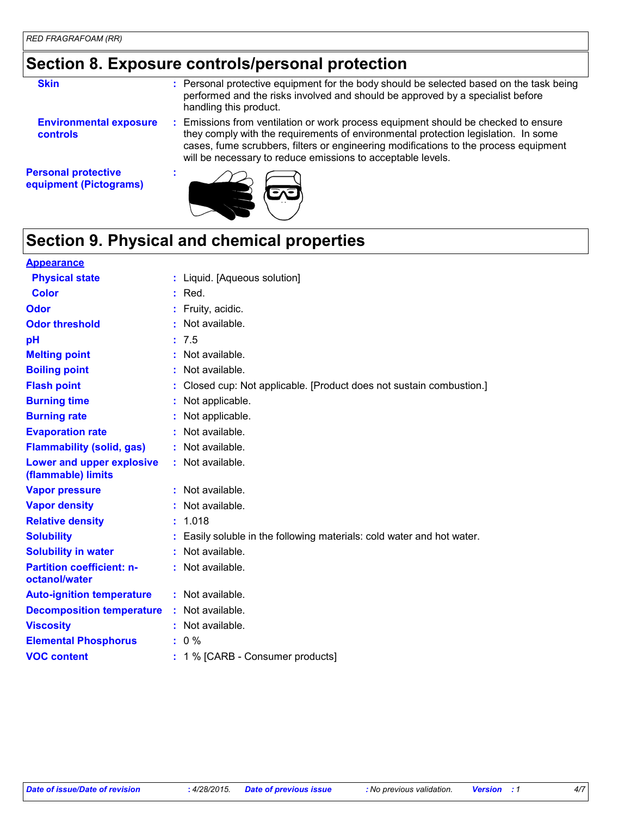# **Section 8. Exposure controls/personal protection**

| <b>Skin</b>                                      | : Personal protective equipment for the body should be selected based on the task being<br>performed and the risks involved and should be approved by a specialist before<br>handling this product.                                                                                                                             |
|--------------------------------------------------|---------------------------------------------------------------------------------------------------------------------------------------------------------------------------------------------------------------------------------------------------------------------------------------------------------------------------------|
| <b>Environmental exposure</b><br><b>controls</b> | : Emissions from ventilation or work process equipment should be checked to ensure<br>they comply with the requirements of environmental protection legislation. In some<br>cases, fume scrubbers, filters or engineering modifications to the process equipment<br>will be necessary to reduce emissions to acceptable levels. |
| <b>Personal protective</b>                       |                                                                                                                                                                                                                                                                                                                                 |

**equipment (Pictograms)**



# **Section 9. Physical and chemical properties**

| <b>Appearance</b>                                 |                                                                      |
|---------------------------------------------------|----------------------------------------------------------------------|
| <b>Physical state</b>                             | : Liquid. [Aqueous solution]                                         |
| <b>Color</b>                                      | $:$ Red.                                                             |
| Odor                                              | Fruity, acidic.                                                      |
| <b>Odor threshold</b>                             | Not available.                                                       |
| pH                                                | 7.5                                                                  |
| <b>Melting point</b>                              | Not available.                                                       |
| <b>Boiling point</b>                              | Not available.                                                       |
| <b>Flash point</b>                                | Closed cup: Not applicable. [Product does not sustain combustion.]   |
| <b>Burning time</b>                               | Not applicable.                                                      |
| <b>Burning rate</b>                               | Not applicable.                                                      |
| <b>Evaporation rate</b>                           | Not available.                                                       |
| <b>Flammability (solid, gas)</b>                  | : Not available.                                                     |
| Lower and upper explosive<br>(flammable) limits   | Not available.                                                       |
| <b>Vapor pressure</b>                             | : Not available.                                                     |
| <b>Vapor density</b>                              | Not available.                                                       |
| <b>Relative density</b>                           | 1.018                                                                |
| <b>Solubility</b>                                 | Easily soluble in the following materials: cold water and hot water. |
| <b>Solubility in water</b>                        | Not available.                                                       |
| <b>Partition coefficient: n-</b><br>octanol/water | Not available.                                                       |
| <b>Auto-ignition temperature</b>                  | : Not available.                                                     |
| <b>Decomposition temperature</b>                  | Not available.                                                       |
| <b>Viscosity</b>                                  | Not available.                                                       |
| <b>Elemental Phosphorus</b>                       | $0\%$                                                                |
| <b>VOC content</b>                                | 1 % [CARB - Consumer products]                                       |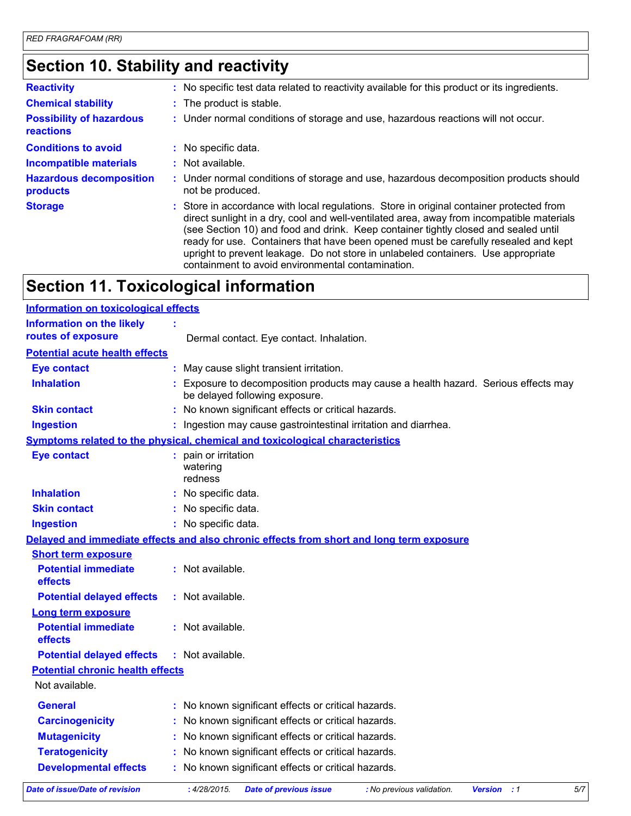# **Section 10. Stability and reactivity**

| <b>Reactivity</b>                            | : No specific test data related to reactivity available for this product or its ingredients.                                                                                                                                                                                                                                                                                                                                                                                                                  |
|----------------------------------------------|---------------------------------------------------------------------------------------------------------------------------------------------------------------------------------------------------------------------------------------------------------------------------------------------------------------------------------------------------------------------------------------------------------------------------------------------------------------------------------------------------------------|
| <b>Chemical stability</b>                    | : The product is stable.                                                                                                                                                                                                                                                                                                                                                                                                                                                                                      |
| <b>Possibility of hazardous</b><br>reactions | : Under normal conditions of storage and use, hazardous reactions will not occur.                                                                                                                                                                                                                                                                                                                                                                                                                             |
| <b>Conditions to avoid</b>                   | : No specific data.                                                                                                                                                                                                                                                                                                                                                                                                                                                                                           |
| <b>Incompatible materials</b>                | $:$ Not available.                                                                                                                                                                                                                                                                                                                                                                                                                                                                                            |
| <b>Hazardous decomposition</b><br>products   | : Under normal conditions of storage and use, hazardous decomposition products should<br>not be produced.                                                                                                                                                                                                                                                                                                                                                                                                     |
| <b>Storage</b>                               | : Store in accordance with local regulations. Store in original container protected from<br>direct sunlight in a dry, cool and well-ventilated area, away from incompatible materials<br>(see Section 10) and food and drink. Keep container tightly closed and sealed until<br>ready for use. Containers that have been opened must be carefully resealed and kept<br>upright to prevent leakage. Do not store in unlabeled containers. Use appropriate<br>containment to avoid environmental contamination. |

# **Section 11. Toxicological information**

| <b>Information on toxicological effects</b> |                                                                                                                                                               |
|---------------------------------------------|---------------------------------------------------------------------------------------------------------------------------------------------------------------|
| <b>Information on the likely</b>            |                                                                                                                                                               |
| routes of exposure                          | Dermal contact. Eye contact. Inhalation.                                                                                                                      |
| <b>Potential acute health effects</b>       |                                                                                                                                                               |
| <b>Eye contact</b>                          | May cause slight transient irritation.                                                                                                                        |
| <b>Inhalation</b>                           | Exposure to decomposition products may cause a health hazard. Serious effects may<br>be delayed following exposure.                                           |
| <b>Skin contact</b>                         | : No known significant effects or critical hazards.                                                                                                           |
| <b>Ingestion</b>                            | : Ingestion may cause gastrointestinal irritation and diarrhea.                                                                                               |
|                                             | Symptoms related to the physical, chemical and toxicological characteristics                                                                                  |
| <b>Eye contact</b>                          | : pain or irritation<br>watering<br>redness                                                                                                                   |
| <b>Inhalation</b>                           | : No specific data.                                                                                                                                           |
| <b>Skin contact</b>                         | : No specific data.                                                                                                                                           |
| <b>Ingestion</b>                            | : No specific data.                                                                                                                                           |
|                                             | Delayed and immediate effects and also chronic effects from short and long term exposure                                                                      |
| <b>Short term exposure</b>                  |                                                                                                                                                               |
| <b>Potential immediate</b><br>effects       | : Not available.                                                                                                                                              |
| <b>Potential delayed effects</b>            | : Not available.                                                                                                                                              |
| <b>Long term exposure</b>                   |                                                                                                                                                               |
| <b>Potential immediate</b><br>effects       | : Not available.                                                                                                                                              |
| <b>Potential delayed effects</b>            | : Not available.                                                                                                                                              |
| <b>Potential chronic health effects</b>     |                                                                                                                                                               |
| Not available.                              |                                                                                                                                                               |
| <b>General</b>                              | : No known significant effects or critical hazards.                                                                                                           |
| <b>Carcinogenicity</b>                      | : No known significant effects or critical hazards.                                                                                                           |
| <b>Mutagenicity</b>                         | : No known significant effects or critical hazards.                                                                                                           |
| <b>Teratogenicity</b>                       | No known significant effects or critical hazards.                                                                                                             |
| <b>Developmental effects</b>                | : No known significant effects or critical hazards.                                                                                                           |
|                                             | $ -$<br>the contract of the contract of the contract of the contract of the contract of the contract of the contract of<br>1000000000<br>$\cdots$<br>$\cdots$ |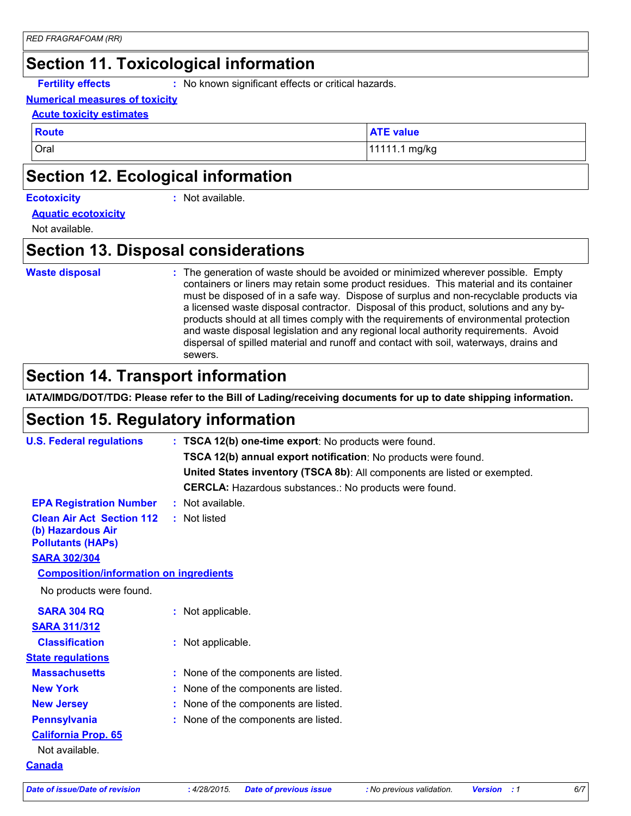### **Section 11. Toxicological information**

**Fertility effects :** No known significant effects or critical hazards.

#### **Numerical measures of toxicity**

#### **Acute toxicity estimates**

**Route ATE** value

Oral 11111.1 mg/kg

### **Section 12. Ecological information**

#### **Ecotoxicity :**

: Not available.

#### **Aquatic ecotoxicity**

Not available.

### **Section 13. Disposal considerations**

#### **Waste disposal :**

The generation of waste should be avoided or minimized wherever possible. Empty containers or liners may retain some product residues. This material and its container must be disposed of in a safe way. Dispose of surplus and non-recyclable products via a licensed waste disposal contractor. Disposal of this product, solutions and any byproducts should at all times comply with the requirements of environmental protection and waste disposal legislation and any regional local authority requirements. Avoid dispersal of spilled material and runoff and contact with soil, waterways, drains and sewers.

### **Section 14. Transport information**

**IATA/IMDG/DOT/TDG: Please refer to the Bill of Lading/receiving documents for up to date shipping information.**

### **Section 15. Regulatory information**

| <b>U.S. Federal regulations</b>                                                   | : TSCA 12(b) one-time export: No products were found.                     |
|-----------------------------------------------------------------------------------|---------------------------------------------------------------------------|
|                                                                                   | TSCA 12(b) annual export notification: No products were found.            |
|                                                                                   | United States inventory (TSCA 8b): All components are listed or exempted. |
|                                                                                   | <b>CERCLA:</b> Hazardous substances.: No products were found.             |
| <b>EPA Registration Number</b>                                                    | : Not available.                                                          |
| <b>Clean Air Act Section 112</b><br>(b) Hazardous Air<br><b>Pollutants (HAPS)</b> | : Not listed                                                              |
| <b>SARA 302/304</b>                                                               |                                                                           |
| <b>Composition/information on ingredients</b>                                     |                                                                           |
| No products were found.                                                           |                                                                           |
| <b>SARA 304 RQ</b>                                                                | : Not applicable.                                                         |
| <b>SARA 311/312</b>                                                               |                                                                           |
| <b>Classification</b>                                                             | : Not applicable.                                                         |
| <b>State regulations</b>                                                          |                                                                           |
| <b>Massachusetts</b>                                                              | : None of the components are listed.                                      |
| <b>New York</b>                                                                   | : None of the components are listed.                                      |
| <b>New Jersey</b>                                                                 | : None of the components are listed.                                      |
| <b>Pennsylvania</b>                                                               | : None of the components are listed.                                      |
| <b>California Prop. 65</b>                                                        |                                                                           |
| Not available.                                                                    |                                                                           |
| <b>Canada</b>                                                                     |                                                                           |
|                                                                                   |                                                                           |